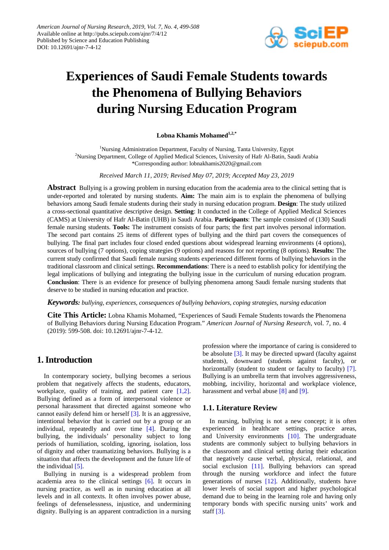

# **Experiences of Saudi Female Students towards the Phenomena of Bullying Behaviors during Nursing Education Program**

Lobna Khamis Mohamed<sup>1,2,\*</sup>

<sup>1</sup>Nursing Administration Department, Faculty of Nursing, Tanta University, Egypt <sup>2</sup>Nursing Department, College of Applied Medical Sciences, University of Hafr Al-Batin, Saudi Arabia \*Corresponding author: lobnakhamis2020@gmail.com

*Received March 11, 2019; Revised May 07, 2019; Accepted May 23, 2019*

**Abstract** Bullying is a growing problem in nursing education from the academia area to the clinical setting that is under-reported and tolerated by nursing students. **Aim:** The main aim is to explain the phenomena of bullying behaviors among Saudi female students during their study in nursing education program. **Design**: The study utilized a cross-sectional quantitative descriptive design. **Setting**: It conducted in the College of Applied Medical Sciences (CAMS) at University of Hafr Al-Batin (UHB) in Saudi Arabia. **Participants**: The sample consisted of (130) Saudi female nursing students. **Tools:** The instrument consists of four parts; the first part involves personal information. The second part contains 25 items of different types of bullying and the third part covers the consequences of bullying. The final part includes four closed ended questions about widespread learning environments (4 options), sources of bullying (7 options), coping strategies (9 options) and reasons for not reporting (8 options). **Results:** The current study confirmed that Saudi female nursing students experienced different forms of bullying behaviors in the traditional classroom and clinical settings. **Recommendations**: There is a need to establish policy for identifying the legal implications of bullying and integrating the bullying issue in the curriculum of nursing education program. **Conclusion**: There is an evidence for presence of bullying phenomena among Saudi female nursing students that deserve to be studied in nursing education and practice.

*Keywords: bullying, experiences, consequences of bullying behaviors, coping strategies, nursing education*

**Cite This Article:** Lobna Khamis Mohamed, "Experiences of Saudi Female Students towards the Phenomena of Bullying Behaviors during Nursing Education Program." *American Journal of Nursing Research*, vol. 7, no. 4 (2019): 599-508. doi: 10.12691/ajnr-7-4-12.

# **1. Introduction**

In contemporary society, bullying becomes a serious problem that negatively affects the students, educators, workplace, quality of training, and patient care [\[1,2\].](#page-8-0) Bullying defined as a form of interpersonal violence or personal harassment that directed against someone who cannot easily defend him or herself [\[3\].](#page-8-1) It is an aggressive, intentional behavior that is carried out by a group or an individual, repeatedly and over time [\[4\].](#page-8-2) During the bullying, the individuals' personality subject to long periods of humiliation, scolding, ignoring, isolation, loss of dignity and other traumatizing behaviors. Bullying is a situation that affects the development and the future life of the individual [\[5\].](#page-8-3)

Bullying in nursing is a widespread problem from academia area to the clinical settings [\[6\].](#page-8-4) It occurs in nursing practice, as well as in nursing education at all levels and in all contexts. It often involves power abuse, feelings of defenselessness, injustice, and undermining dignity. Bullying is an apparent contradiction in a nursing profession where the importance of caring is considered to be absolute [\[3\].](#page-8-1) It may be directed upward (faculty against students), downward (students against faculty), or horizontally (student to student or faculty to faculty) [\[7\].](#page-8-5) Bullying is an umbrella term that involves aggressiveness, mobbing, incivility, horizontal and workplace violence, harassment and verbal abuse [\[8\]](#page-8-6) and [\[9\].](#page-8-7)

#### **1.1. Literature Review**

In nursing, bullying is not a new concept; it is often experienced in healthcare settings, practice areas, and University environments [\[10\].](#page-8-8) The undergraduate students are commonly subject to bullying behaviors in the classroom and clinical setting during their education that negatively cause verbal, physical, relational, and social exclusion [\[11\].](#page-8-9) Bullying behaviors can spread through the nursing workforce and infect the future generations of nurses [\[12\].](#page-8-10) Additionally, students have lower levels of social support and higher psychological demand due to being in the learning role and having only temporary bonds with specific nursing units' work and staff [\[3\].](#page-8-1)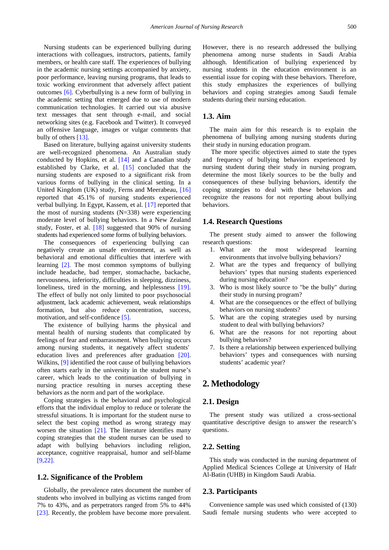Nursing students can be experienced bullying during interactions with colleagues, instructors, patients, family members, or health care staff. The experiences of bullying in the academic nursing settings accompanied by anxiety, poor performance, leaving nursing programs, that leads to toxic working environment that adversely affect patient outcomes [\[6\].](#page-8-4) Cyberbullying is a new form of bullying in the academic setting that emerged due to use of modern communication technologies. It carried out via abusive text messages that sent through e-mail, and social networking sites (e.g. Facebook and Twitter). It conveyed an offensive language, images or vulgar comments that bully of others [\[13\].](#page-8-11)

Based on literature, bullying against university students are well-recognized phenomena. An Australian study conducted by Hopkins, et al. [\[14\]](#page-8-12) and a Canadian study established by Clarke, et al. [\[15\]](#page-8-13) concluded that the nursing students are exposed to a significant risk from various forms of bullying in the clinical setting. In a United Kingdom (UK) study, Ferns and Meerabeau, [\[16\]](#page-8-14) reported that 45.1% of nursing students experienced verbal bullying. In Egypt, Kassem, et al. [\[17\]](#page-8-15) reported that the most of nursing students  $(N=338)$  were experiencing moderate level of bullying behaviors. In a New Zealand study, Foster, et al. [\[18\]](#page-8-16) suggested that 90% of nursing students had experienced some forms of bullying behaviors.

The consequences of experiencing bullying can negatively create an unsafe environment, as well as behavioral and emotional difficulties that interfere with learning [\[2\].](#page-8-17) The most common symptoms of bullying include headache, bad temper, stomachache, backache, nervousness, inferiority, difficulties in sleeping, dizziness, loneliness, tired in the morning, and helplessness [\[19\].](#page-8-18) The effect of bully not only limited to poor psychosocial adjustment, lack academic achievement, weak relationships formation, but also reduce concentration, success, motivation, and self-confidence [\[5\].](#page-8-3)

The existence of bullying harms the physical and mental health of nursing students that complicated by feelings of fear and embarrassment. When bullying occurs among nursing students, it negatively affect students' education lives and preferences after graduation [\[20\].](#page-8-19) Wilkins, [\[9\]](#page-8-7) identified the root cause of bullying behaviors often starts early in the university in the student nurse's career, which leads to the continuation of bullying in nursing practice resulting in nurses accepting these behaviors as the norm and part of the workplace.

Coping strategies is the behavioral and psychological efforts that the individual employ to reduce or tolerate the stressful situations. It is important for the student nurse to select the best coping method as wrong strategy may worsen the situation  $[21]$ . The literature identifies many coping strategies that the student nurses can be used to adapt with bullying behaviors including religion, acceptance, cognitive reappraisal, humor and self-blame [\[9,22\].](#page-8-7)

#### **1.2. Significance of the Problem**

Globally, the prevalence rates document the number of students who involved in bullying as victims ranged from 7% to 43%, and as perpetrators ranged from 5% to 44% [\[23\].](#page-9-1) Recently, the problem have become more prevalent.

However, there is no research addressed the bullying phenomena among nurse students in Saudi Arabia although. Identification of bullying experienced by nursing students in the education environment is an essential issue for coping with these behaviors. Therefore, this study emphasizes the experiences of bullying behaviors and coping strategies among Saudi female students during their nursing education.

#### **1.3. Aim**

The main aim for this research is to explain the phenomena of bullying among nursing students during their study in nursing education program.

The more specific objectives aimed to state the types and frequency of bullying behaviors experienced by nursing student during their study in nursing program, determine the most likely sources to be the bully and consequences of these bullying behaviors, identify the coping strategies to deal with these behaviors and recognize the reasons for not reporting about bullying behaviors.

#### **1.4. Research Questions**

The present study aimed to answer the following research questions:

- 1. What are the most widespread learning environments that involve bullying behaviors?
- 2. What are the types and frequency of bullying behaviors' types that nursing students experienced during nursing education?
- 3. Who is most likely source to "be the bully" during their study in nursing program?
- 4. What are the consequences or the effect of bullying behaviors on nursing students?
- 5. What are the coping strategies used by nursing student to deal with bullying behaviors?
- 6. What are the reasons for not reporting about bullying behaviors?
- 7. Is there a relationship between experienced bullying behaviors' types and consequences with nursing students' academic year?

# **2. Methodology**

#### **2.1. Design**

The present study was utilized a cross-sectional quantitative descriptive design to answer the research's questions.

#### **2.2. Setting**

This study was conducted in the nursing department of Applied Medical Sciences College at University of Hafr Al-Batin (UHB) in Kingdom Saudi Arabia.

#### **2.3. Participants**

Convenience sample was used which consisted of (130) Saudi female nursing students who were accepted to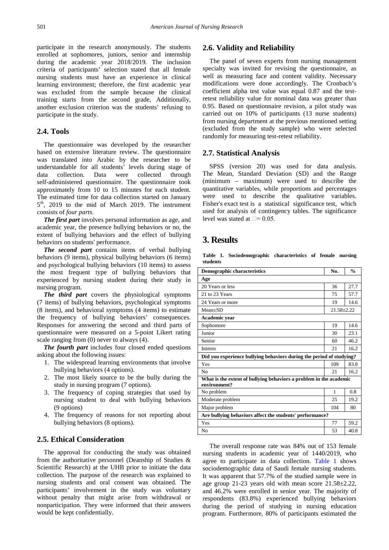participate in the research anonymously. The students enrolled at sophomores, juniors, senior and internship during the academic year 2018/2019. The inclusion criteria of participants' selection stated that all female nursing students must have an experience in clinical learning environment; therefore, the first academic year was excluded from the sample because the clinical training starts from the second grade, Additionally, another exclusion criterion was the students' refusing to participate in the study.

#### **2.4. Tools**

The questionnaire was developed by the researcher based on extensive literature review. The questionnaire was translated into Arabic by the researcher to be understandable for all students' levels during stage of data collection. Data were collected through self-administered questionnaire. The questionnaire took approximately from 10 to 15 minutes for each student. The estimated time for data collection started on January  $5<sup>th</sup>$ , 2019 to the mid of March 2019. The instrument consists of *four parts.*

*The first part* involves personal information as age, and academic year, the presence bullying behaviors or no, the extent of bullying behaviors and the effect of bullying behaviors on students' performance.

*The second part* contains items of verbal bullying behaviors (9 items), physical bullying behaviors (6 items) and psychological bullying behaviors (10 items) to assess the most frequent type of bullying behaviors that experienced by nursing student during their study in nursing program.

*The third part* covers the physiological symptoms (7 items) of bullying behaviors, psychological symptoms (8 items), and behavioral symptoms (4 items) to estimate the frequency of bullying behaviors' consequences. Responses for answering the second and third parts of questionnaire were measured on a 5-point Likert rating scale ranging from (0) never to always (4).

*The fourth part* includes four closed ended questions asking about the following issues:

- 1. The widespread learning environments that involve bullying behaviors (4 options).
- 2. The most likely source to be the bully during the study in nursing program (7 options).
- 3. The frequency of coping strategies that used by nursing student to deal with bullying behaviors (9 options)
- 4. The frequency of reasons for not reporting about bullying behaviors (8 options).

#### **2.5. Ethical Consideration**

The approval for conducting the study was obtained from the authoritative personnel (Deanship of Studies & Scientific Research) at the UHB prior to initiate the data collection. The purpose of the research was explained to nursing students and oral consent was obtained. The participants' involvement in the study was voluntary without penalty that might arise from withdrawal or nonparticipation. They were informed that their answers would be kept confidentially.

### **2.6. Validity and Reliability**

The panel of seven experts from nursing management specialty was invited for revising the questionnaire, as well as measuring face and content validity. Necessary modifications were done accordingly. The Cronbach's coefficient alpha test value was equal 0.87 and the testretest reliability value for nominal data was greater than 0.95. Based on questionnaire revision, a pilot study was carried out on 10% of participants (13 nurse students) from nursing department at the previous mentioned setting (excluded from the study sample) who were selected randomly for measuring test-retest reliability.

#### **2.7. Statistical Analysis**

SPSS (version 20) was used for data analysis. The Mean, Standard Deviation (SD) and the Range (minimum – maximum) were used to describe the quantitative variables, while proportions and percentages were used to describe the qualitative variables. Fisher's exact test is a statistical significance test, which used for analysis of contingency tables. The significance level was stated at  $\square$ = 0.05.

# **3. Results**

**Table 1. Sociodemographic characteristics of female nursing students**

<span id="page-2-0"></span>

| Demographic characteristics                                                        | No.              | $\frac{0}{n}$ |  |  |  |  |  |  |  |  |
|------------------------------------------------------------------------------------|------------------|---------------|--|--|--|--|--|--|--|--|
| Age                                                                                |                  |               |  |  |  |  |  |  |  |  |
| 20 Years or less                                                                   | 36               | 27.7          |  |  |  |  |  |  |  |  |
| 21 to 23 Years                                                                     | 75               | 57.7          |  |  |  |  |  |  |  |  |
| 24 Years or more                                                                   | 19               | 14.6          |  |  |  |  |  |  |  |  |
| $Mean+SD$                                                                          | $21.58 \pm 2.22$ |               |  |  |  |  |  |  |  |  |
| Academic year                                                                      |                  |               |  |  |  |  |  |  |  |  |
| Sophomore                                                                          | 19               | 14.6          |  |  |  |  |  |  |  |  |
| Junior                                                                             | 30               | 23.1          |  |  |  |  |  |  |  |  |
| Senior                                                                             | 60               | 46.2          |  |  |  |  |  |  |  |  |
| <b>Interns</b>                                                                     | 21               | 16.2          |  |  |  |  |  |  |  |  |
| Did you experience bullying behaviors during the period of studying?               |                  |               |  |  |  |  |  |  |  |  |
| Yes                                                                                | 109              | 83.8          |  |  |  |  |  |  |  |  |
| No                                                                                 | 21               | 16.2          |  |  |  |  |  |  |  |  |
| What is the extent of bullying behaviors a problem in the academic<br>environment? |                  |               |  |  |  |  |  |  |  |  |
| No problem                                                                         | 1                | 0.8           |  |  |  |  |  |  |  |  |
| Moderate problem                                                                   | 25               | 19.2          |  |  |  |  |  |  |  |  |
| Major problem                                                                      | 104              | 80            |  |  |  |  |  |  |  |  |
| Are bullying behaviors affect the students' performance?                           |                  |               |  |  |  |  |  |  |  |  |
| Yes                                                                                | 77               | 59.2          |  |  |  |  |  |  |  |  |
| N <sub>0</sub>                                                                     | 53               | 40.8          |  |  |  |  |  |  |  |  |

The overall response rate was 84% out of 153 female nursing students in academic year of 1440/2019, who agree to participate in data collection. [Table 1](#page-2-0) shows sociodemographic data of Saudi female nursing students. It was apparent that 57.7% of the studied sample were in age group 21-23 years old with mean score 21.58±2.22, and 46.2% were enrolled in senior year. The majority of respondents (83.8%) experienced bullying behaviors during the period of studying in nursing education program. Furthermore, 80% of participants estimated the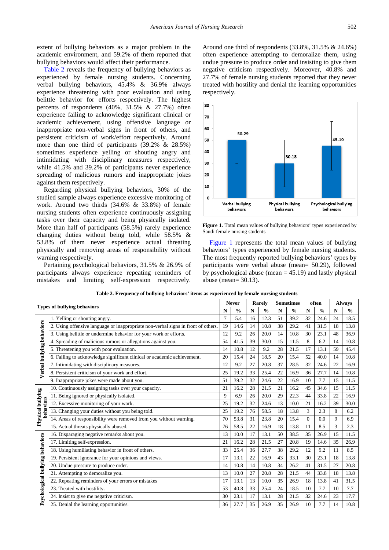extent of bullying behaviors as a major problem in the academic environment, and 59.2% of them reported that bullying behaviors would affect their performance.

[Table 2](#page-3-0) reveals the frequency of bullying behaviors as experienced by female nursing students. Concerning verbal bullying behaviors, 45.4% & 36.9% always experience threatening with poor evaluation and using belittle behavior for efforts respectively. The highest percents of respondents  $(40\%, 31.5\% \& 27.7\%)$  often experience failing to acknowledge significant clinical or academic achievement, using offensive language or inappropriate non-verbal signs in front of others, and persistent criticism of work/effort respectively. Around more than one third of participants (39.2% & 28.5%) sometimes experience yelling or shouting angry and intimidating with disciplinary measures respectively, while 41.5% and 39.2% of participants never experience spreading of malicious rumors and inappropriate jokes against them respectively.

Regarding physical bullying behaviors, 30% of the studied sample always experience excessive monitoring of work. Around two thirds (34.6% & 33.8%) of female nursing students often experience continuously assigning tasks over their capacity and being physically isolated. More than half of participants (58.5%) rarely experience changing duties without being told, while 58.5% & 53.8% of them never experience actual threating physically and removing areas of responsibility without warning respectively.

Pertaining psychological behaviors, 31.5% & 26.9% of participants always experience repeating reminders of mistakes and limiting self-expression respectively.

Around one third of respondents (33.8%, 31.5% & 24.6%) often experience attempting to demoralize them, using undue pressure to produce order and insisting to give them negative criticism respectively. Moreover, 40.8% and 27.7% of female nursing students reported that they never treated with hostility and denial the learning opportunities respectively.

<span id="page-3-1"></span>

Figure 1. Total mean values of bullying behaviors' types experienced by Saudi female nursing students

[Figure 1](#page-3-1) represents the total mean values of bullying behaviors' types experienced by female nursing students. The most frequently reported bullying behaviors' types by participants were verbal abuse (mean= 50.29), followed by psychological abuse (mean  $= 45.19$ ) and lastly physical abuse (mean= 30.13).

<span id="page-3-0"></span>

| <b>Types of bullying behaviors</b> |                                                                                   | <b>Never</b>   |      | Rarely      |               | <b>Sometimes</b> |               | often       |               | <b>Always</b> |               |
|------------------------------------|-----------------------------------------------------------------------------------|----------------|------|-------------|---------------|------------------|---------------|-------------|---------------|---------------|---------------|
|                                    |                                                                                   |                |      | $\mathbf N$ | $\frac{0}{0}$ | N                | $\frac{0}{0}$ | $\mathbf N$ | $\frac{0}{0}$ | N             | $\frac{0}{0}$ |
|                                    | 1. Yelling or shouting angry.                                                     | $\overline{7}$ | 5.4  | 16          | 12.3          | 51               | 39.2          | 32          | 24.6          | 24            | 18.5          |
|                                    | 2. Using offensive language or inappropriate non-verbal signs in front of others. | 19             | 14.6 | 14          | 10.8          | 38               | 29.2          | 41          | 31.5          | 18            | 13.8          |
|                                    | 3. Using belittle or undermine behavior for your work or efforts.                 | 12             | 9.2  | 26          | 20.0          | 14               | 10.8          | 30          | 23.1          | 48            | 36.9          |
|                                    | 4. Spreading of malicious rumors or allegations against you.                      | 54             | 41.5 | 39          | 30.0          | 15               | 11.5          | 8           | 6.2           | 14            | 10.8          |
| Verbal bullying behaviors          | 5. Threatening you with poor evaluation.                                          | 14             | 10.8 | 12          | 9.2           | 28               | 21.5          | 17          | 13.1          | 59            | 45.4          |
|                                    | 6. Failing to acknowledge significant clinical or academic achievement.           | 20             | 15.4 | 24          | 18.5          | 20               | 15.4          | 52          | 40.0          | 14            | 10.8          |
|                                    | 7. Intimidating with disciplinary measures.                                       | 12             | 9.2  | 27          | 20.8          | 37               | 28.5          | 32          | 24.6          | 22            | 16.9          |
|                                    | 8. Persistent criticism of your work and effort.                                  | 25             | 19.2 | 33          | 25.4          | 22               | 16.9          | 36          | 27.7          | 14            | 10.8          |
|                                    | 9. Inappropriate jokes were made about you.                                       | 51             | 39.2 | 32          | 24.6          | 22               | 16.9          | 10          | 7.7           | 15            | 11.5          |
|                                    | 10. Continuously assigning tasks over your capacity.                              | 21             | 16.2 | 28          | 21.5          | 21               | 16.2          | 45          | 34.6          | 15            | 11.5          |
|                                    | 11. Being ignored or physically isolated.                                         | 9              | 6.9  | 26          | 20.0          | 29               | 22.3          | 44          | 33.8          | 22            | 16.9          |
| Physical bullying                  | behaviors<br>12. Excessive monitoring of your work.<br>25                         |                | 19.2 | 32          | 24.6          | 13               | 10.0          | 21          | 16.2          | 39            | 30.0          |
|                                    | 13. Changing your duties without you being told.<br>25                            |                | 19.2 | 76          | 58.5          | 18               | 13.8          | 3           | 2.3           | 8             | 6.2           |
|                                    | 14. Areas of responsibility were removed from you without warning.                |                | 53.8 | 31          | 23.8          | 20               | 15.4          | $\Omega$    | 0.0           | 9             | 6.9           |
|                                    | 15. Actual threats physically abused.                                             | 76             | 58.5 | 22          | 16.9          | 18               | 13.8          | 11          | 8.5           | 3             | 2.3           |
|                                    | 16. Disparaging negative remarks about you.                                       | 13             | 10.0 | 17          | 13.1          | 50               | 38.5          | 35          | 26.9          | 15            | 11.5          |
|                                    | 17. Limiting self-expression.                                                     | 21             | 16.2 | 28          | 21.5          | 27               | 20.8          | 19          | 14.6          | 35            | 26.9          |
|                                    | 18. Using humiliating behavior in front of others.                                | 33             | 25.4 | 36          | 27.7          | 38               | 29.2          | 12          | 9.2           | 11            | 8.5           |
|                                    | 19. Persistent ignorance for your opinions and views.                             |                | 13.1 | 22          | 16.9          | 43               | 33.1          | 30          | 23.1          | 18            | 13.8          |
|                                    | 20. Undue pressure to produce order.                                              | 14             | 10.8 | 14          | 10.8          | 34               | 26.2          | 41          | 31.5          | 27            | 20.8          |
|                                    | 21. Attempting to demoralize you.                                                 | 13             | 10.0 | 27          | 20.8          | 28               | 21.5          | 44          | 33.8          | 18            | 13.8          |
|                                    | 22. Repeating reminders of your errors or mistakes                                | 17             | 13.1 | 13          | 10.0          | 35               | 26.9          | 18          | 13.8          | 41            | 31.5          |
|                                    | 23. Treated with hostility.                                                       | 53             | 40.8 | 33          | 25.4          | 24               | 18.5          | 10          | 7.7           | 10            | 7.7           |
| Psychological bullying behaviors   | 24. Insist to give me negative criticism.                                         | 30             | 23.1 | 17          | 13.1          | 28               | 21.5          | 32          | 24.6          | 23            | 17.7          |
|                                    | 25. Denial the learning opportunities.                                            | 36             | 27.7 | 35          | 26.9          | 35               | 26.9          | 10          | 7.7           | 14            | 10.8          |

**Table 2. Frequency of bullying behaviors' items as experienced by female nursing students**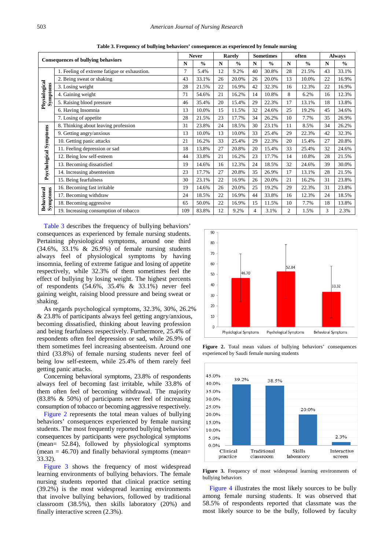<span id="page-4-0"></span>

| <b>Consequences of bullying behaviors</b> |                                              | <b>Never</b> |               | Rarely |               | <b>Sometimes</b> |               | often              |       | <b>Always</b> |               |
|-------------------------------------------|----------------------------------------------|--------------|---------------|--------|---------------|------------------|---------------|--------------------|-------|---------------|---------------|
|                                           |                                              | N            | $\frac{0}{0}$ | N      | $\frac{0}{0}$ | $\mathbf N$      | $\frac{0}{0}$ | N<br>$\frac{0}{0}$ |       | N             | $\frac{0}{0}$ |
|                                           | 1. Feeling of extreme fatigue or exhaustion. | 7            | 5.4%          | 12     | 9.2%          | 40               | 30.8%         | 28                 | 21.5% | 43            | 33.1%         |
|                                           | 2. Being sweat or shaking                    | 43           | 33.1%         | 26     | 20.0%         | 26               | 20.0%         | 13                 | 10.0% | 22            | 16.9%         |
| Physiological<br>Symptoms                 | 3. Losing weight                             | 28           | 21.5%         | 22     | 16.9%         | 42               | 32.3%         | 16                 | 12.3% | 22            | 16.9%         |
|                                           | 4. Gaining weight                            | 71           | 54.6%         | 21     | 16.2%         | 14               | 10.8%         | 8                  | 6.2%  | 16            | 12.3%         |
|                                           | 5. Raising blood pressure                    | 46           | 35.4%         | 20     | 15.4%         | 29               | 22.3%         | 17                 | 13.1% | 18            | 13.8%         |
|                                           | 6. Having Insomnia                           | 13           | 10.0%         | 15     | 11.5%         | 32               | 24.6%         | 25                 | 19.2% | 45            | 34.6%         |
|                                           | 7. Losing of appetite                        | 28           | 21.5%         | 23     | 17.7%         | 34               | 26.2%         | 10                 | 7.7%  | 35            | 26.9%         |
|                                           | 8. Thinking about leaving profession         | 31           | 23.8%         | 24     | 18.5%         | 30               | 23.1%         | 11                 | 8.5%  | 34            | 26.2%         |
|                                           | 9. Getting angry/anxious                     | 13           | 10.0%         | 13     | 10.0%         | 33               | 25.4%         | 29                 | 22.3% | 42            | 32.3%         |
|                                           | 10. Getting panic attacks                    | 21           | 16.2%         | 33     | 25.4%         | 29               | 22.3%         | 20                 | 15.4% | 27            | 20.8%         |
|                                           | 11. Feeling depression or sad                | 18           | 13.8%         | 27     | 20.8%         | 20               | 15.4%         | 33                 | 25.4% | 32            | 24.6%         |
|                                           | 12. Being low self-esteem                    | 44           | 33.8%         | 21     | 16.2%         | 23               | 17.7%         | 14                 | 10.8% | 28            | 21.5%         |
|                                           | 13. Becoming dissatisfied                    | 19           | 14.6%         | 16     | 12.3%         | 24               | 18.5%         | 32                 | 24.6% | 39            | 30.0%         |
| Psychological Symptoms                    | 14. Increasing absenteeism                   | 23           | 17.7%         | 27     | 20.8%         | 35               | 26.9%         | 17                 | 13.1% | 28            | 21.5%         |
|                                           | 15. Being fearfulness                        | 30           | 23.1%         | 22     | 16.9%         | 26               | 20.0%         | 21                 | 16.2% | 31            | 23.8%         |
|                                           | 16. Becoming fast irritable                  | 19           | 14.6%         | 26     | 20.0%         | 25               | 19.2%         | 29                 | 22.3% | 31            | 23.8%         |
|                                           | 17. Becoming withdraw                        | 24           | 18.5%         | 22     | 16.9%         | 44               | 33.8%         | 16                 | 12.3% | 24            | 18.5%         |
| <b>Behavioral</b><br>Symptoms             | 18. Becoming aggressive                      | 65           | 50.0%         | 22     | 16.9%         | 15               | 11.5%         | 10                 | 7.7%  | 18            | 13.8%         |
|                                           | 19. Increasing consumption of tobacco        | 109          | 83.8%         | 12     | 9.2%          | 4                | 3.1%          | $\overline{c}$     | 1.5%  | 3             | 2.3%          |

**Table 3. Frequency of bullying behaviors' consequences as experienced by female nursing**

[Table 3](#page-4-0) describes the frequency of bullying behaviors' consequences as experienced by female nursing students. Pertaining physiological symptoms, around one third (34.6%, 33.1% & 26.9%) of female nursing students always feel of physiological symptoms by having insomnia, feeling of extreme fatigue and losing of appetite respectively, while 32.3% of them sometimes feel the effect of bullying by losing weight. The highest percents of respondents (54.6%, 35.4% & 33.1%) never feel gaining weight, raising blood pressure and being sweat or shaking.

As regards psychological symptoms, 32.3%, 30%, 26.2% & 23.8% of participants always feel getting angry/anxious, becoming dissatisfied, thinking about leaving profession and being fearfulness respectively. Furthermore, 25.4% of respondents often feel depression or sad, while 26.9% of them sometimes feel increasing absenteeism. Around one third (33.8%) of female nursing students never feel of being low self-esteem, while 25.4% of them rarely feel getting panic attacks.

Concerning behavioral symptoms, 23.8% of respondents always feel of becoming fast irritable, while 33.8% of them often feel of becoming withdrawal. The majority (83.8% & 50%) of participants never feel of increasing consumption of tobacco or becoming aggressive respectively.

[Figure 2](#page-4-1) represents the total mean values of bullying behaviors' consequences experienced by female nursing students. The most frequently reported bullying behaviors' consequences by participants were psychological symptoms (mean= 52.84), followed by physiological symptoms (mean  $= 46.70$ ) and finally behavioral symptoms (mean= 33.32).

[Figure 3](#page-4-2) shows the frequency of most widespread learning environments of bullying behaviors. The female nursing students reported that clinical practice setting (39.2%) is the most widespread learning environments that involve bullying behaviors, followed by traditional classroom (38.5%), then skills laboratory (20%) and finally interactive screen (2.3%).

<span id="page-4-1"></span>

Figure 2. Total mean values of bullying behaviors' consequences experienced by Saudi female nursing students

<span id="page-4-2"></span>

**Figure 3.** Frequency of most widespread learning environments of bullying behaviors

[Figure 4](#page-5-0) illustrates the most likely sources to be bully among female nursing students. It was observed that 58.5% of respondents reported that classmate was the most likely source to be the bully, followed by faculty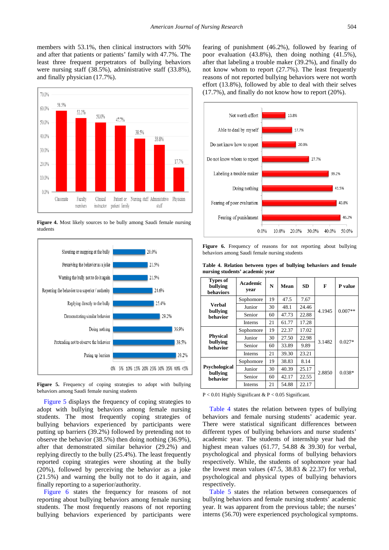members with 53.1%, then clinical instructors with 50% and after that patients or patients' family with 47.7%. The least three frequent perpetrators of bullying behaviors were nursing staff (38.5%), administrative staff (33.8%), and finally physician (17.7%).

<span id="page-5-0"></span>

**Figure 4.** Most likely sources to be bully among Saudi female nursing students

<span id="page-5-1"></span>

**Figure 5.** Frequency of coping strategies to adopt with bullying behaviors among Saudi female nursing students

[Figure 5](#page-5-1) displays the frequency of coping strategies to adopt with bullying behaviors among female nursing students. The most frequently coping strategies of bullying behaviors experienced by participants were putting up barriers (39.2%) followed by pretending not to observe the behavior (38.5%) then doing nothing (36.9%), after that demonstrated similar behavior (29.2%) and replying directly to the bully (25.4%). The least frequently reported coping strategies were shouting at the bully (20%), followed by perceiving the behavior as a joke (21.5%) and warning the bully not to do it again, and finally reporting to a superior/authority.

[Figure 6](#page-5-2) states the frequency for reasons of not reporting about bullying behaviors among female nursing students. The most frequently reasons of not reporting bullying behaviors experienced by participants were

fearing of punishment (46.2%), followed by fearing of poor evaluation (43.8%), then doing nothing (41.5%), after that labeling a trouble maker (39.2%), and finally do not know whom to report (27.7%). The least frequently reasons of not reported bullying behaviors were not worth effort (13.8%), followed by able to deal with their selves (17.7%), and finally do not know how to report (20%).

<span id="page-5-2"></span>

**Figure 6.** Frequency of reasons for not reporting about bullying behaviors among Saudi female nursing students

<span id="page-5-3"></span>

| nui sing stuuchts acauchne vear   |                  |    |       |           |        |           |  |  |  |  |
|-----------------------------------|------------------|----|-------|-----------|--------|-----------|--|--|--|--|
| Types of<br>bullying<br>behaviors | Academic<br>year | N  | Mean  | <b>SD</b> | F      | P value   |  |  |  |  |
|                                   | Sophomore        | 19 | 47.5  | 7.67      |        | $0.007**$ |  |  |  |  |
| Verbal<br>bullying<br>behavior    | Junior           | 30 | 48.1  | 24.46     | 4.1945 |           |  |  |  |  |
|                                   | Senior           | 60 | 47.73 | 22.88     |        |           |  |  |  |  |
|                                   | <b>Interns</b>   | 21 | 61.77 | 17.28     |        |           |  |  |  |  |
|                                   | Sophomore        | 19 | 22.37 | 17.02     |        | $0.027*$  |  |  |  |  |
| <b>Physical</b>                   | Junior           | 30 | 27.50 | 22.98     | 3.1482 |           |  |  |  |  |
| bullying<br>behavior              | Senior           | 60 | 33.89 | 9.89      |        |           |  |  |  |  |
|                                   | <b>Interns</b>   | 21 | 39.30 | 23.21     |        |           |  |  |  |  |
|                                   | Sophomore        | 19 | 38.83 | 8.14      |        |           |  |  |  |  |
| Psychological                     | Junior           | 30 | 40.39 | 25.17     | 2.8850 | $0.038*$  |  |  |  |  |
| bullying<br>behavior              | Senior           | 60 | 42.17 | 22.55     |        |           |  |  |  |  |
|                                   | Interns          | 21 | 54.88 | 22.17     |        |           |  |  |  |  |
|                                   |                  |    |       |           |        |           |  |  |  |  |

**Table 4. Relation between types of bullying behaviors and female nursing students' academic year**

P < 0.01 Highly Significant & P < 0.05 Significant.

[Table 4](#page-5-3) states the relation between types of bullying behaviors and female nursing students' academic year. There were statistical significant differences between different types of bullying behaviors and nurse students' academic year. The students of internship year had the highest mean values (61.77, 54.88 & 39.30) for verbal, psychological and physical forms of bullying behaviors respectively. While, the students of sophomore year had the lowest mean values  $(47.5, 38.83 \& 22.37)$  for verbal, psychological and physical types of bullying behaviors respectively.

[Table 5](#page-6-0) states the relation between consequences of bullying behaviors and female nursing students' academic year. It was apparent from the previous table; the nurses' interns (56.70) were experienced psychological symptoms.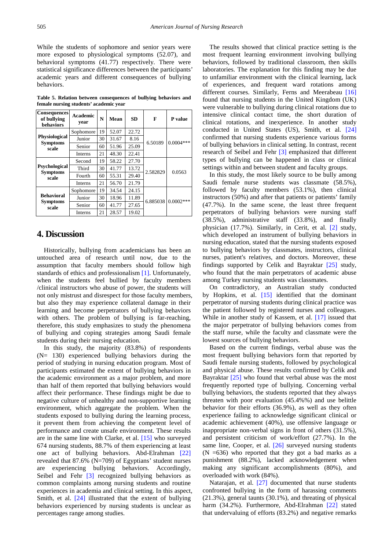While the students of sophomore and senior years were more exposed to physiological symptoms (52.07), and behavioral symptoms (41.77) respectively. There were statistical significance differences between the participants' academic years and different consequences of bullying behaviors.

**Table 5. Relation between consequences of bullying behaviors and female nursing students' academic year**

<span id="page-6-0"></span>

| <b>Consequences</b><br>of bullying<br>behaviors  | <b>Academic</b><br>year | N  | Mean  | <b>SD</b> | F        | <b>P</b> value |  |  |
|--------------------------------------------------|-------------------------|----|-------|-----------|----------|----------------|--|--|
| <b>Physiological</b><br><b>Symptoms</b><br>scale | Sophomore               | 19 | 52.07 | 22.72     |          |                |  |  |
|                                                  | Junior                  | 30 | 31.67 | 8.16      | 6.50189  | $0.0004***$    |  |  |
|                                                  | Senior                  | 60 | 51.96 | 25.09     |          |                |  |  |
|                                                  | <b>Interns</b>          | 21 | 48.30 | 22.41     |          |                |  |  |
| <b>Psychological</b><br><b>Symptoms</b><br>scale | Second                  | 19 | 58.22 | 27.70     |          | 0.0563         |  |  |
|                                                  | Third                   | 30 | 41.77 | 13.72     | 2.582829 |                |  |  |
|                                                  | Fourth                  | 60 | 55.31 | 29.40     |          |                |  |  |
|                                                  | <b>Interns</b>          | 21 | 56.70 | 21.79     |          |                |  |  |
| <b>Behavioral</b><br><b>Symptoms</b><br>scale    | Sophomore               | 19 | 34.54 | 24.15     |          |                |  |  |
|                                                  | Junior                  | 30 | 18.96 | 11.89     | 6.885038 | $0.0002$ ***   |  |  |
|                                                  | Senior                  | 60 | 41.77 | 27.65     |          |                |  |  |
|                                                  | Interns                 | 21 | 28.57 | 19.02     |          |                |  |  |

## **4. Discussion**

Historically, bullying from academicians has been an untouched area of research until now, due to the assumption that faculty members should follow high standards of ethics and professionalism [\[1\].](#page-8-0) Unfortunately, when the students feel bullied by faculty members /clinical instructors who abuse of power, the students will not only mistrust and disrespect for those faculty members, but also they may experience collateral damage in their learning and become perpetrators of bullying behaviors with others. The problem of bullying is far-reaching, therefore, this study emphasizes to study the phenomena of bullying and coping strategies among Saudi female students during their nursing education.

In this study, the majority (83.8%) of respondents  $(N= 130)$  experienced bullying behaviors during the period of studying in nursing education program. Most of participants estimated the extent of bullying behaviors in the academic environment as a major problem, and more than half of them reported that bullying behaviors would affect their performance. These findings might be due to negative culture of unhealthy and non-supportive learning environment, which aggregate the problem. When the students exposed to bullying during the learning process, it prevent them from achieving the competent level of performance and create unsafe environment. These results are in the same line with Clarke, et al. [\[15\]](#page-8-13) who surveyed 674 nursing students, 88.7% of them experiencing at least one act of bullying behaviors. Abd-Elrahman [\[22\]](#page-9-2) revealed that 87.6% (N=709) of Egyptians' student nurses are experiencing bullying behaviors. Accordingly, Seibel and Fehr [\[3\]](#page-8-1) recognized bullying behaviors as common complaints among nursing students and routine experiences in academia and clinical setting. In this aspect, Smith, et al. [\[24\]](#page-9-3) illustrated that the extent of bullying behaviors experienced by nursing students is unclear as percentages range among studies.

The results showed that clinical practice setting is the most frequent learning environment involving bullying behaviors, followed by traditional classroom, then skills laboratories. The explanation for this finding may be due to unfamiliar environment with the clinical learning, lack of experiences, and frequent ward rotations among different courses. Similarly, Ferns and Meerabeau [\[16\]](#page-8-14) found that nursing students in the United Kingdom (UK) were vulnerable to bullying during clinical rotations due to intensive clinical contact time, the short duration of clinical rotations, and inexperience. In another study conducted in United States (US), Smith, et al. [\[24\]](#page-9-3) confirmed that nursing students experience various forms of bullying behaviors in clinical setting. In contrast, recent research of Seibel and Fehr [\[3\]](#page-8-1) emphasized that different types of bullying can be happened in class or clinical settings within and between student and faculty groups.

In this study, the most likely source to be bully among Saudi female nurse students was classmate (58.5%), followed by faculty members (53.1%), then clinical instructors (50%) and after that patients or patients' family (47.7%). In the same scene, the least three frequent perpetrators of bullying behaviors were nursing staff (38.5%), administrative staff (33.8%), and finally physician (17.7%). Similarly, in Cerit, et al. [\[2\]](#page-8-17) study, which developed an instrument of bullying behaviors in nursing education, stated that the nursing students exposed to bullying behaviors by classmates, instructors, clinical nurses, patient's relatives, and doctors. Moreover, these findings supported by Celik and Bayraktar [\[25\]](#page-9-4) study, who found that the main perpetrators of academic abuse among Turkey nursing students was classmates.

On contradictory, an Australian study conducted by Hopkins, et al. [\[15\]](#page-8-13) identified that the dominant perpetrator of nursing students during clinical practice was the patient followed by registered nurses and colleagues. While in another study of Kassem, et al. [\[17\]](#page-8-15) issued that the major perpetrator of bullying behaviors comes from the staff nurse, while the faculty and classmate were the lowest sources of bullying behaviors.

Based on the current findings, verbal abuse was the most frequent bullying behaviors form that reported by Saudi female nursing students, followed by psychological and physical abuse. These results confirmed by Celik and Bayraktar [\[25\]](#page-9-4) who found that verbal abuse was the most frequently reported type of bullying. Concerning verbal bullying behaviors, the students reported that they always threaten with poor evaluation (45.4%%) and use belittle behavior for their efforts (36.9%), as well as they often experience failing to acknowledge significant clinical or academic achievement (40%), use offensive language or inappropriate non-verbal signs in front of others (31.5%), and persistent criticism of work/effort (27.7%). In the same line, Cooper, et al. [\[26\]](#page-9-5) surveyed nursing students  $(N = 636)$  who reported that they got a bad marks as a punishment (88.2%), lacked acknowledgement when making any significant accomplishments (80%), and overloaded with work (84%).

Natarajan, et al. [\[27\]](#page-9-6) documented that nurse students confronted bullying in the form of harassing comments (21.3%), general taunts (30.1%), and threating of physical harm (34.2%). Furthermore, Abd-Elrahman [\[22\]](#page-9-2) stated that undervaluing of efforts (83.2%) and negative remarks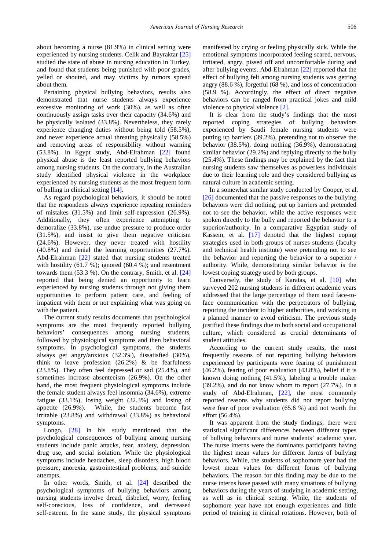about becoming a nurse (81.9%) in clinical setting were experienced by nursing students. Celik and Bayraktar [\[25\]](#page-9-4) studied the state of abuse in nursing education in Turkey, and found that students being punished with poor grades, yelled or shouted, and may victims by rumors spread about them.

Pertaining physical bullying behaviors, results also demonstrated that nurse students always experience excessive monitoring of work (30%), as well as often continuously assign tasks over their capacity (34.6%) and be physically isolated (33.8%). Nevertheless, they rarely experience changing duties without being told (58.5%), and never experience actual threating physically (58.5%) and removing areas of responsibility without warning (53.8%). In Egypt study, Abd-Elrahman [\[22\]](#page-9-2) found physical abuse is the least reported bullying behaviors among nursing students. On the contrary, in the Australian study identified physical violence in the workplace experienced by nursing students as the most frequent form of bulling in clinical settin[g \[14\].](#page-8-12)

As regard psychological behaviors, it should be noted that the respondents always experience repeating reminders of mistakes (31.5%) and limit self-expression (26.9%). Additionally, they often experience attempting to demoralize (33.8%), use undue pressure to produce order (31.5%), and insist to give them negative criticism (24.6%). However, they never treated with hostility (40.8%) and denial the learning opportunities (27.7%). Abd-Elrahman [\[22\]](#page-9-2) stated that nursing students treated with hostility (61.7 %); ignored (60.4 %); and resentment towards them (53.3 %). On the contrary, Smith, et al. [\[24\]](#page-9-3) reported that being denied an opportunity to learn experienced by nursing students through not giving them opportunities to perform patient care, and feeling of impatient with them or not explaining what was going on with the patient.

The current study results documents that psychological symptoms are the most frequently reported bullying behaviors' consequences among nursing students, followed by physiological symptoms and then behavioral symptoms. In psychological symptoms, the students always get angry/anxious (32.3%), dissatisfied (30%), think to leave profession  $(26.2%)$  & be fearfulness (23.8%). They often feel depressed or sad (25.4%), and sometimes increase absenteeism (26.9%). On the other hand, the most frequent physiological symptoms include the female student always feel insomnia (34.6%), extreme fatigue (33.1%), losing weight (32.3%) and losing of appetite (26.9%). While, the students become fast irritable (23.8%) and withdrawal (33.8%) as behavioral symptoms.

Longo, [\[28\]](#page-9-7) in his study mentioned that the psychological consequences of bullying among nursing students include panic attacks, fear, anxiety, depression, drug use, and social isolation. While the physiological symptoms include headaches, sleep disorders, high blood pressure, anorexia, gastrointestinal problems, and suicide attempts.

In other words, Smith, et al. [\[24\]](#page-9-3) described the psychological symptoms of bullying behaviors among nursing students involve dread, disbelief, worry, feeling self-conscious, loss of confidence, and decreased self-esteem. In the same study, the physical symptoms manifested by crying or feeling physically sick. While the emotional symptoms incorporated feeling scared, nervous, irritated, angry, pissed off and uncomfortable during and after bullying events. Abd-Elrahman [\[22\]](#page-9-2) reported that the effect of bullying felt among nursing students was getting angry (88.6 %), forgetful (68 %), and loss of concentration (58.9 %). Accordingly, the effect of direct negative behaviors can be ranged from practical jokes and mild violence to physical violence [\[2\].](#page-8-17)

It is clear from the study's findings that the most reported coping strategies of bullying behaviors experienced by Saudi female nursing students were putting up barriers (39.2%), pretending not to observe the behavior (38.5%), doing nothing (36.9%), demonstrating similar behavior (29.2%) and replying directly to the bully (25.4%). These findings may be explained by the fact that nursing students saw themselves as powerless individuals due to their learning role and they considered bullying as natural culture in academic setting.

In a somewhat similar study conducted by Cooper, et al. [\[26\]](#page-9-5) documented that the passive responses to the bullying behaviors were did nothing, put up barriers and pretended not to see the behavior, while the active responses were spoken directly to the bully and reported the behavior to a superior/authority. In a comparative Egyptian study of Kassem, et al. [\[17\]](#page-8-15) denoted that the highest coping strategies used in both groups of nurses students (faculty and technical health institute) were pretending not to see the behavior and reporting the behavior to a superior / authority. While, demonstrating similar behavior is the lowest coping strategy used by both groups.

Conversely, the study of Karatas, et al. [\[10\]](#page-8-8) who surveyed 202 nursing students in different academic years addressed that the large percentage of them used face-toface communication with the perpetrators of bullying, reporting the incident to higher authorities, and working in a planned manner to avoid criticism. The previous study justified these findings due to both social and occupational culture, which considered as crucial determinants of student attitudes.

According to the current study results, the most frequently reasons of not reporting bullying behaviors experienced by participants were fearing of punishment (46.2%), fearing of poor evaluation (43.8%), belief if it is known doing nothing (41.5%), labeling a trouble maker (39.2%), and do not know whom to report (27.7%). In a study of Abd-Elrahman, [\[22\],](#page-9-2) the most commonly reported reasons why students did not report bullying were fear of poor evaluation (65.6 %) and not worth the effort (56.4%).

It was apparent from the study findings; there were statistical significant differences between different types of bullying behaviors and nurse students' academic year. The nurse interns were the dominants participants having the highest mean values for different forms of bullying behaviors. While, the students of sophomore year had the lowest mean values for different forms of bullying behaviors. The reason for this finding may be due to the nurse interns have passed with many situations of bullying behaviors during the years of studying in academic setting, as well as in clinical setting. While, the students of sophomore year have not enough experiences and little period of training in clinical rotations. However, both of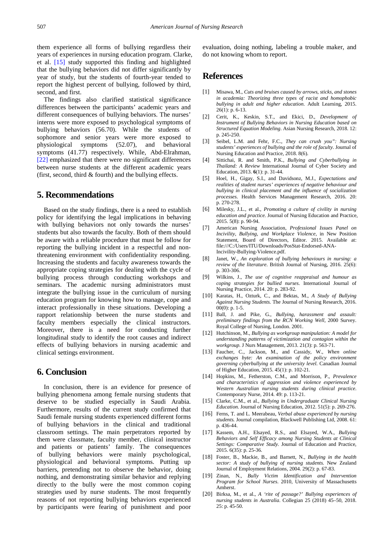them experience all forms of bullying regardless their years of experiences in nursing education program. Clarke, et al. [\[15\]](#page-8-13) study supported this finding and highlighted that the bullying behaviors did not differ significantly by year of study, but the students of fourth-year tended to report the highest percent of bullying, followed by third, second, and first.

The findings also clarified statistical significance differences between the participants' academic years and different consequences of bullying behaviors. The nurses' interns were more exposed to psychological symptoms of bullying behaviors (56.70). While the students of sophomore and senior years were more exposed to physiological symptoms (52.07), and behavioral symptoms (41.77) respectively. While, Abd-Elrahman, [\[22\]](#page-9-2) emphasized that there were no significant differences between nurse students at the different academic years (first, second, third & fourth) and the bullying effects.

## **5. Recommendations**

Based on the study findings, there is a need to establish policy for identifying the legal implications in behaving with bullying behaviors not only towards the nurses' students but also towards the faculty. Both of them should be aware with a reliable procedure that must be follow for reporting the bullying incident in a respectful and nonthreatening environment with confidentiality responding. Increasing the students and faculty awareness towards the appropriate coping strategies for dealing with the cycle of bullying process through conducting workshops and seminars. The academic nursing administrators must integrate the bullying issue in the curriculum of nursing education program for knowing how to manage, cope and interact professionally in these situations. Developing a rapport relationship between the nurse students and faculty members especially the clinical instructors. Moreover, there is a need for conducting further longitudinal study to identify the root causes and indirect effects of bullying behaviors in nursing academic and clinical settings environment.

## **6. Conclusion**

In conclusion, there is an evidence for presence of bullying phenomena among female nursing students that deserve to be studied especially in Saudi Arabia. Furthermore, results of the current study confirmed that Saudi female nursing students experienced different forms of bullying behaviors in the clinical and traditional classroom settings. The main perpetrators reported by them were classmate, faculty member, clinical instructor and patients or patients' family. The consequences of bullying behaviors were mainly psychological, physiological and behavioral symptoms. Putting up barriers, pretending not to observe the behavior, doing nothing, and demonstrating similar behavior and replying directly to the bully were the most common coping strategies used by nurse students. The most frequently reasons of not reporting bullying behaviors experienced by participants were fearing of punishment and poor

evaluation, doing nothing, labeling a trouble maker, and do not knowing whom to report.

# **References**

- <span id="page-8-0"></span>[1] Misawa, M., *Cuts and bruises caused by arrows, sticks, and stones in academia: Theorizing three types of racist and homophobic bullying in adult and higher education*. Adult Learning, 2015. 26(1): p. 6-13.
- <span id="page-8-17"></span>[2] Cerit, K., Keskin, S.T., and Ekici, D., *Development of Instrument of Bullying Behaviors in Nursing Education based on Structured Equation Modeling*. Asian Nursing Research, 2018. 12: p. 245-250.
- <span id="page-8-1"></span>[3] Seibel, L.M. and Fehr, F.C., *They can crush you": Nursing students' experiences of bullying and the role of faculty*. Journal of Nursing Education and Practice, 2018. 8(6).
- <span id="page-8-2"></span>[4] Sittichai, R. and Smith, P.K., *Bullying and Cyberbullying in Thailand: A Review* International Journal of Cyber Society and Education, 2013. **6**(1): p. 31-44.
- <span id="page-8-3"></span>[5] Hoel, H., Gigay, S.I., and Davidsonz, M.J., *Expectations and realities of student nurses' experiences of negative behaviour and bullying in clinical placement and the influence of socialization processes*. Health Services Management Research, 2016. 20: p. 270-278.
- <span id="page-8-4"></span>[6] Milesky, J.L., et al., *Promoting a culture of civility in nursing education and practice.* Journal of Nursing Education and Practice, 2015. 5(8): p. 90-94.
- <span id="page-8-5"></span>[7] American Nursing Association, *Professional Issues Panel on Incivility, Bullying, and Workplace Violence*, in New Position Statement, Board of Directors, Editor. 2015. Available at: file:///C:/Users/ITU/Downloads/PosStat-Endorsed-ANA-Incivility-Bullying-Violence.pdf.
- <span id="page-8-6"></span>[8] Janet, W., *An exploration of bullying behaviours in nursing: a review of the literature*. British Journal of Nursing, 2016. 25(6): p. 303-306.
- <span id="page-8-7"></span>[9] Wilkins, J., *The use of cognitive reappraisal and humour as coping strategies for bullied nurses*. International Journal of Nursing Practice, 2014. 20: p. 283-92.
- <span id="page-8-8"></span>[10] Karatas, H., Ozturk, C., and Bektas, M., *A Study of Bullying Against Nursing Students.* The Journal of Nursing Research, 2016. 00(0): p. 1-5.
- <span id="page-8-9"></span>[11] Ball, J. and Pike, G., *Bullying, harassment and assault: preliminary findings from the RCN Working Well*, 2000 Survey. Royal College of Nursing, London. 2001.
- <span id="page-8-10"></span>[12] Hutchinson, M., *Bullying as workgroup manipulation: A model for understanding patterns of victimization and contagion within the workgroup*. J Nurs Management, 2013. 21(3): p. 563-71.
- <span id="page-8-11"></span>[13] Faucher, C., Jackson, M., and Cassidy, W., *When online exchanges byte: An examination of the policy environment governing cyberbullying at the university level*. Canadian Journal of Higher Education, 2015. 45(1): p. 102-21.
- <span id="page-8-12"></span>[14] Hopkins, M., Fetherston, C.M., and Morrison, P., *Prevalence and characteristics of aggression and violence experienced by Western Australian nursing students during clinical practice*. Contemporary Nurse, 2014. 49: p. 113-21.
- <span id="page-8-13"></span>[15] Clarke, C.M., et al., *Bullying in Undergraduate Clinical Nursing Education.* Journal of Nursing Education, 2012. 51(5): p. 269-276.
- <span id="page-8-14"></span>[16] Ferns, T. and L. Meerabeau, *Verbal abuse experienced by nursing students.* Journal compilation, Blackwell Publishing Ltd, 2008. 61: p. 436-44.
- <span id="page-8-15"></span>[17] Kassem, A.H., Elsayed, R.S., and Elsayed, W.A., *Bullying Behaviors and Self Efficacy among Nursing Students at Clinical Settings: Comparative Study.* Journal of Education and Practice, 2015. 6(35): p. 25-36.
- <span id="page-8-16"></span>[18] Foster, B., Mackie, B., and Barnett, N., *Bullying in the health sector: A study of bullying of nursing students.* New Zealand Journal of Employment Relations, 2004. 29(2): p. 67-83.
- <span id="page-8-18"></span>[19] Zinan, N., *Bully Victim Identification and Intervention Program for School Nurses*. 2010, University of Massachusetts Amherst.
- <span id="page-8-19"></span>[20] Birksa, M., et al., *A 'rite of passage?' Bullying experiences of nursing students in Australia*. Collegian 25 (2018) 45–50, 2018.  $25: p. 45-50.$